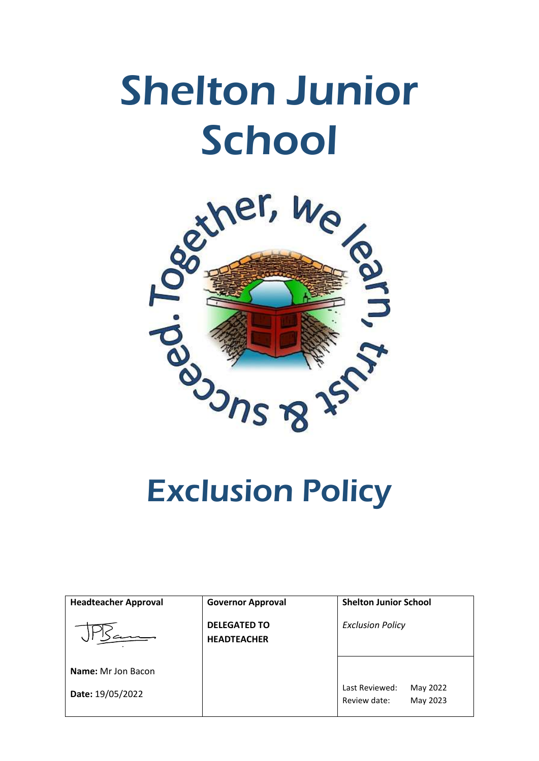# Shelton Junior **School**



| <b>Headteacher Approval</b> | <b>Governor Approval</b>                  | <b>Shelton Junior School</b>                           |
|-----------------------------|-------------------------------------------|--------------------------------------------------------|
|                             | <b>DELEGATED TO</b><br><b>HEADTEACHER</b> | <b>Exclusion Policy</b>                                |
| <b>Name:</b> Mr Jon Bacon   |                                           |                                                        |
| Date: 19/05/2022            |                                           | Last Reviewed:<br>May 2022<br>Review date:<br>May 2023 |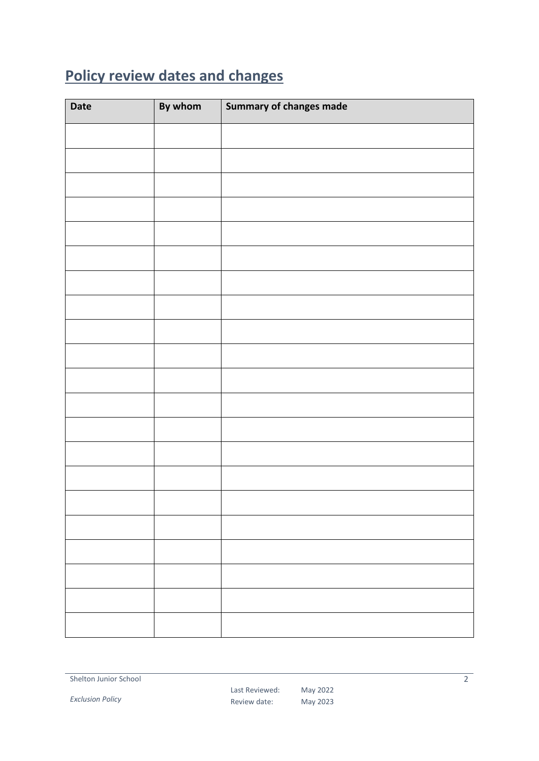# <span id="page-1-0"></span>**Policy review dates and changes**

| <b>Date</b> | By whom | <b>Summary of changes made</b> |
|-------------|---------|--------------------------------|
|             |         |                                |
|             |         |                                |
|             |         |                                |
|             |         |                                |
|             |         |                                |
|             |         |                                |
|             |         |                                |
|             |         |                                |
|             |         |                                |
|             |         |                                |
|             |         |                                |
|             |         |                                |
|             |         |                                |
|             |         |                                |
|             |         |                                |
|             |         |                                |
|             |         |                                |
|             |         |                                |
|             |         |                                |
|             |         |                                |
|             |         |                                |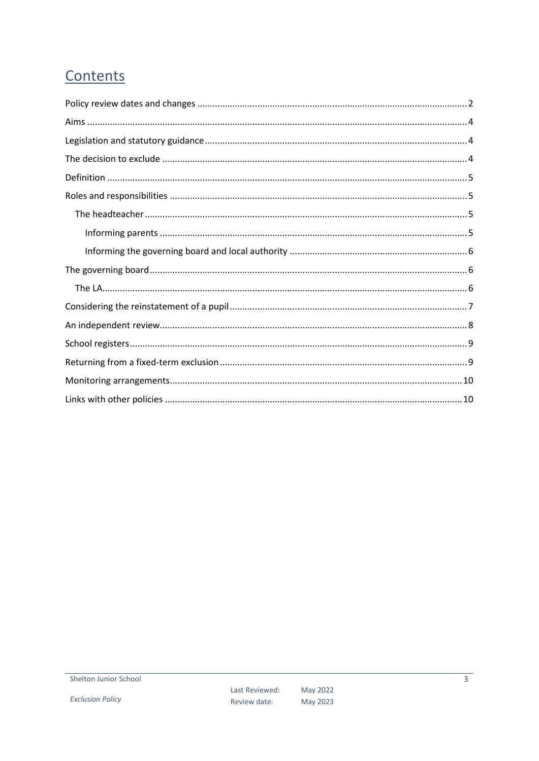# Contents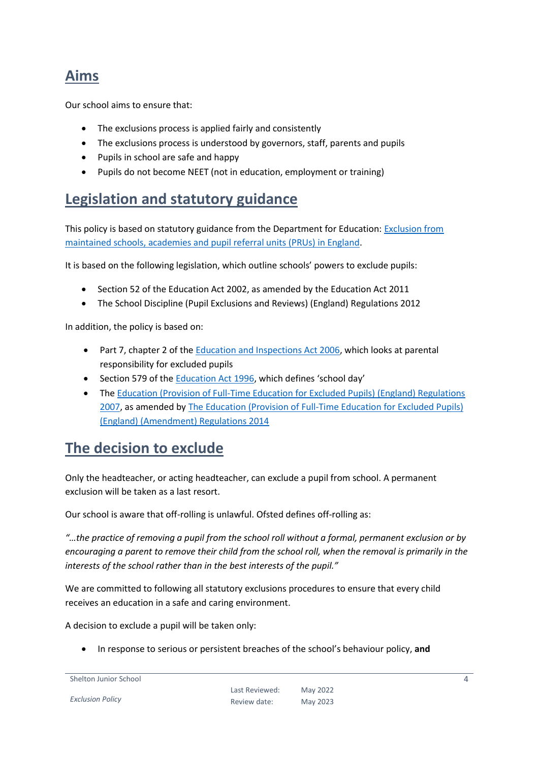## <span id="page-3-0"></span>**Aims**

Our school aims to ensure that:

- The exclusions process is applied fairly and consistently
- The exclusions process is understood by governors, staff, parents and pupils
- Pupils in school are safe and happy
- Pupils do not become NEET (not in education, employment or training)

## <span id="page-3-1"></span>**Legislation and statutory guidance**

This policy is based on statutory guidance from the Department for Education: [Exclusion from](https://www.gov.uk/government/publications/school-exclusion)  [maintained schools, academies and pupil referral units \(PRUs\) in England.](https://www.gov.uk/government/publications/school-exclusion)

It is based on the following legislation, which outline schools' powers to exclude pupils:

- Section 52 of the Education Act 2002, as amended by the Education Act 2011
- The School Discipline (Pupil Exclusions and Reviews) (England) Regulations 2012

In addition, the policy is based on:

- Part 7, chapter 2 of the **Education and Inspections Act 2006**, which looks at parental responsibility for excluded pupils
- Section 579 of the [Education Act 1996](http://www.legislation.gov.uk/ukpga/1996/56/section/579), which defines 'school day'
- The [Education \(Provision of Full-Time Education for Excluded Pupils\) \(England\) Regulations](http://www.legislation.gov.uk/uksi/2007/1870/contents/made)  [2007,](http://www.legislation.gov.uk/uksi/2007/1870/contents/made) as amended by [The Education \(Provision of Full-Time Education for Excluded Pupils\)](http://www.legislation.gov.uk/uksi/2014/3216/contents/made)  [\(England\) \(Amendment\) Regulations 2014](http://www.legislation.gov.uk/uksi/2014/3216/contents/made)

## <span id="page-3-2"></span>**The decision to exclude**

Only the headteacher, or acting headteacher, can exclude a pupil from school. A permanent exclusion will be taken as a last resort.

Our school is aware that off-rolling is unlawful. Ofsted defines off-rolling as:

*"…the practice of removing a pupil from the school roll without a formal, permanent exclusion or by encouraging a parent to remove their child from the school roll, when the removal is primarily in the interests of the school rather than in the best interests of the pupil."*

We are committed to following all statutory exclusions procedures to ensure that every child receives an education in a safe and caring environment.

A decision to exclude a pupil will be taken only:

In response to serious or persistent breaches of the school's behaviour policy, **and**

Shelton Junior School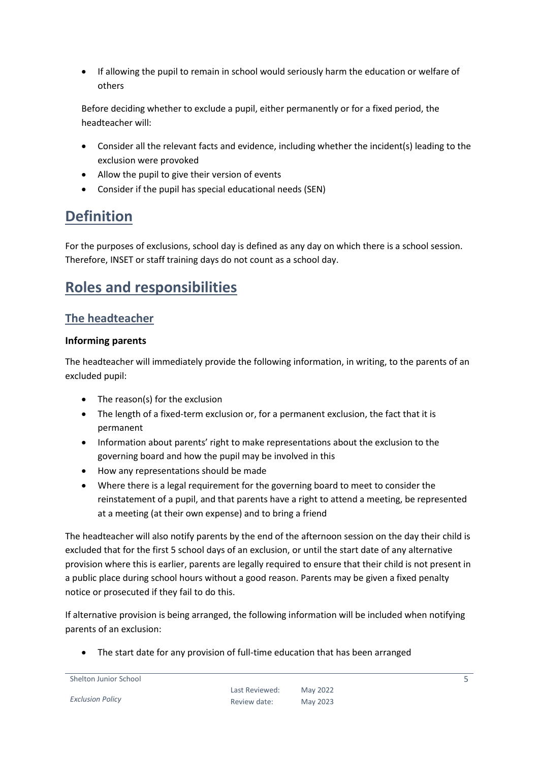If allowing the pupil to remain in school would seriously harm the education or welfare of others

Before deciding whether to exclude a pupil, either permanently or for a fixed period, the headteacher will:

- Consider all the relevant facts and evidence, including whether the incident(s) leading to the exclusion were provoked
- Allow the pupil to give their version of events
- Consider if the pupil has special educational needs (SEN)

## <span id="page-4-0"></span>**Definition**

For the purposes of exclusions, school day is defined as any day on which there is a school session. Therefore, INSET or staff training days do not count as a school day.

## <span id="page-4-1"></span>**Roles and responsibilities**

#### <span id="page-4-2"></span>**The headteacher**

#### <span id="page-4-3"></span>**Informing parents**

The headteacher will immediately provide the following information, in writing, to the parents of an excluded pupil:

- The reason(s) for the exclusion
- The length of a fixed-term exclusion or, for a permanent exclusion, the fact that it is permanent
- Information about parents' right to make representations about the exclusion to the governing board and how the pupil may be involved in this
- How any representations should be made
- Where there is a legal requirement for the governing board to meet to consider the reinstatement of a pupil, and that parents have a right to attend a meeting, be represented at a meeting (at their own expense) and to bring a friend

The headteacher will also notify parents by the end of the afternoon session on the day their child is excluded that for the first 5 school days of an exclusion, or until the start date of any alternative provision where this is earlier, parents are legally required to ensure that their child is not present in a public place during school hours without a good reason. Parents may be given a fixed penalty notice or prosecuted if they fail to do this.

If alternative provision is being arranged, the following information will be included when notifying parents of an exclusion:

The start date for any provision of full-time education that has been arranged

*Exclusion Policy*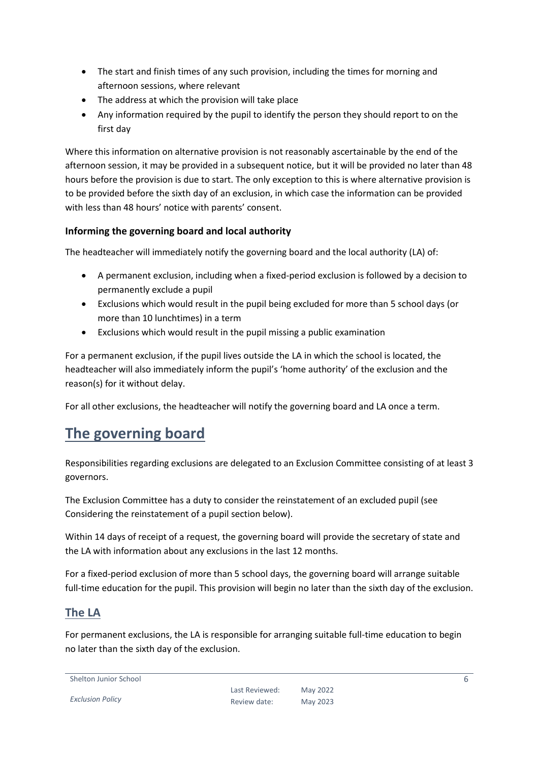- The start and finish times of any such provision, including the times for morning and afternoon sessions, where relevant
- The address at which the provision will take place
- Any information required by the pupil to identify the person they should report to on the first day

Where this information on alternative provision is not reasonably ascertainable by the end of the afternoon session, it may be provided in a subsequent notice, but it will be provided no later than 48 hours before the provision is due to start. The only exception to this is where alternative provision is to be provided before the sixth day of an exclusion, in which case the information can be provided with less than 48 hours' notice with parents' consent.

#### <span id="page-5-0"></span>**Informing the governing board and local authority**

The headteacher will immediately notify the governing board and the local authority (LA) of:

- A permanent exclusion, including when a fixed-period exclusion is followed by a decision to permanently exclude a pupil
- Exclusions which would result in the pupil being excluded for more than 5 school days (or more than 10 lunchtimes) in a term
- Exclusions which would result in the pupil missing a public examination

For a permanent exclusion, if the pupil lives outside the LA in which the school is located, the headteacher will also immediately inform the pupil's 'home authority' of the exclusion and the reason(s) for it without delay.

For all other exclusions, the headteacher will notify the governing board and LA once a term.

## <span id="page-5-1"></span>**The governing board**

Responsibilities regarding exclusions are delegated to an Exclusion Committee consisting of at least 3 governors.

The Exclusion Committee has a duty to consider the reinstatement of an excluded pupil (see Considering the reinstatement of a pupil section below).

Within 14 days of receipt of a request, the governing board will provide the secretary of state and the LA with information about any exclusions in the last 12 months.

For a fixed-period exclusion of more than 5 school days, the governing board will arrange suitable full-time education for the pupil. This provision will begin no later than the sixth day of the exclusion.

#### <span id="page-5-2"></span>**The LA**

For permanent exclusions, the LA is responsible for arranging suitable full-time education to begin no later than the sixth day of the exclusion.

Shelton Junior School

*Exclusion Policy*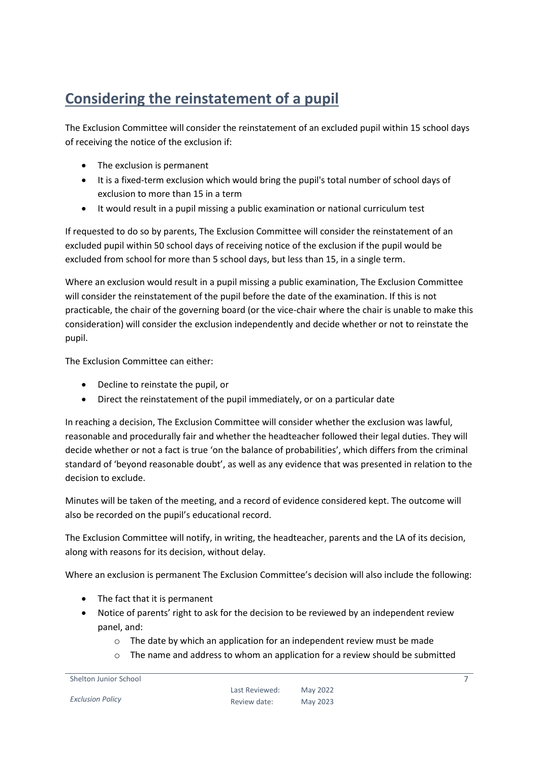# <span id="page-6-0"></span>**Considering the reinstatement of a pupil**

The Exclusion Committee will consider the reinstatement of an excluded pupil within 15 school days of receiving the notice of the exclusion if:

- The exclusion is permanent
- It is a fixed-term exclusion which would bring the pupil's total number of school days of exclusion to more than 15 in a term
- It would result in a pupil missing a public examination or national curriculum test

If requested to do so by parents, The Exclusion Committee will consider the reinstatement of an excluded pupil within 50 school days of receiving notice of the exclusion if the pupil would be excluded from school for more than 5 school days, but less than 15, in a single term.

Where an exclusion would result in a pupil missing a public examination, The Exclusion Committee will consider the reinstatement of the pupil before the date of the examination. If this is not practicable, the chair of the governing board (or the vice-chair where the chair is unable to make this consideration) will consider the exclusion independently and decide whether or not to reinstate the pupil.

The Exclusion Committee can either:

- Decline to reinstate the pupil, or
- Direct the reinstatement of the pupil immediately, or on a particular date

In reaching a decision, The Exclusion Committee will consider whether the exclusion was lawful, reasonable and procedurally fair and whether the headteacher followed their legal duties. They will decide whether or not a fact is true 'on the balance of probabilities', which differs from the criminal standard of 'beyond reasonable doubt', as well as any evidence that was presented in relation to the decision to exclude.

Minutes will be taken of the meeting, and a record of evidence considered kept. The outcome will also be recorded on the pupil's educational record.

The Exclusion Committee will notify, in writing, the headteacher, parents and the LA of its decision, along with reasons for its decision, without delay.

Where an exclusion is permanent The Exclusion Committee's decision will also include the following:

- The fact that it is permanent
- Notice of parents' right to ask for the decision to be reviewed by an independent review panel, and:
	- $\circ$  The date by which an application for an independent review must be made
	- o The name and address to whom an application for a review should be submitted

```
Shelton Junior School
```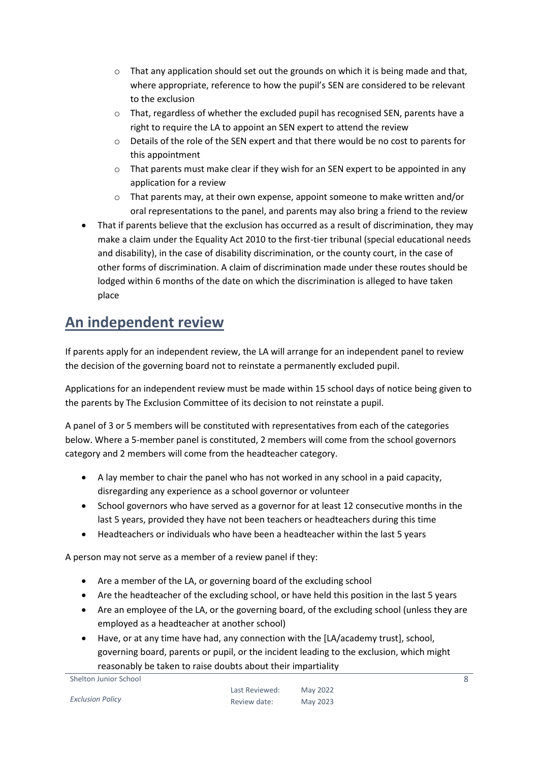- $\circ$  That any application should set out the grounds on which it is being made and that, where appropriate, reference to how the pupil's SEN are considered to be relevant to the exclusion
- o That, regardless of whether the excluded pupil has recognised SEN, parents have a right to require the LA to appoint an SEN expert to attend the review
- o Details of the role of the SEN expert and that there would be no cost to parents for this appointment
- $\circ$  That parents must make clear if they wish for an SEN expert to be appointed in any application for a review
- $\circ$  That parents may, at their own expense, appoint someone to make written and/or oral representations to the panel, and parents may also bring a friend to the review
- That if parents believe that the exclusion has occurred as a result of discrimination, they may make a claim under the Equality Act 2010 to the first-tier tribunal (special educational needs and disability), in the case of disability discrimination, or the county court, in the case of other forms of discrimination. A claim of discrimination made under these routes should be lodged within 6 months of the date on which the discrimination is alleged to have taken place

## <span id="page-7-0"></span>**An independent review**

If parents apply for an independent review, the LA will arrange for an independent panel to review the decision of the governing board not to reinstate a permanently excluded pupil.

Applications for an independent review must be made within 15 school days of notice being given to the parents by The Exclusion Committee of its decision to not reinstate a pupil.

A panel of 3 or 5 members will be constituted with representatives from each of the categories below. Where a 5-member panel is constituted, 2 members will come from the school governors category and 2 members will come from the headteacher category.

- A lay member to chair the panel who has not worked in any school in a paid capacity, disregarding any experience as a school governor or volunteer
- School governors who have served as a governor for at least 12 consecutive months in the last 5 years, provided they have not been teachers or headteachers during this time
- Headteachers or individuals who have been a headteacher within the last 5 years

A person may not serve as a member of a review panel if they:

- Are a member of the LA, or governing board of the excluding school
- Are the headteacher of the excluding school, or have held this position in the last 5 years
- Are an employee of the LA, or the governing board, of the excluding school (unless they are employed as a headteacher at another school)
- Have, or at any time have had, any connection with the [LA/academy trust], school, governing board, parents or pupil, or the incident leading to the exclusion, which might reasonably be taken to raise doubts about their impartiality

Shelton Junior School

*Exclusion Policy*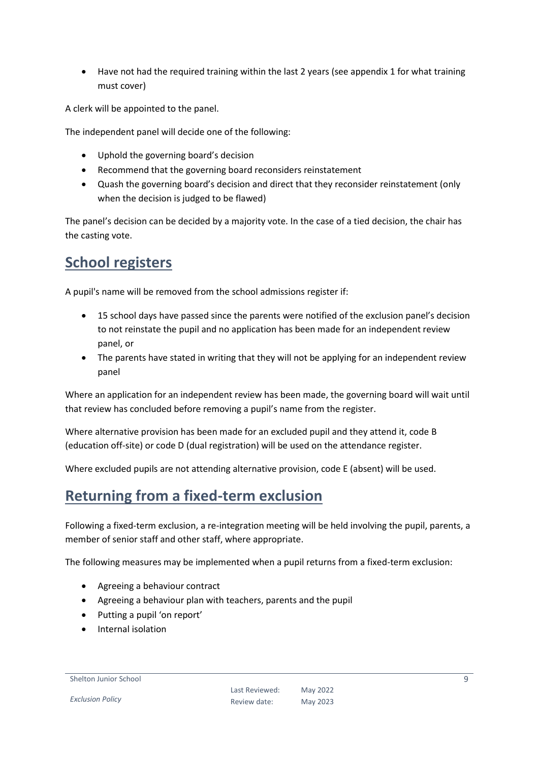Have not had the required training within the last 2 years (see appendix 1 for what training must cover)

A clerk will be appointed to the panel.

The independent panel will decide one of the following:

- Uphold the governing board's decision
- Recommend that the governing board reconsiders reinstatement
- Quash the governing board's decision and direct that they reconsider reinstatement (only when the decision is judged to be flawed)

The panel's decision can be decided by a majority vote. In the case of a tied decision, the chair has the casting vote.

## <span id="page-8-0"></span>**School registers**

A pupil's name will be removed from the school admissions register if:

- 15 school days have passed since the parents were notified of the exclusion panel's decision to not reinstate the pupil and no application has been made for an independent review panel, or
- The parents have stated in writing that they will not be applying for an independent review panel

Where an application for an independent review has been made, the governing board will wait until that review has concluded before removing a pupil's name from the register.

Where alternative provision has been made for an excluded pupil and they attend it, code B (education off-site) or code D (dual registration) will be used on the attendance register.

Where excluded pupils are not attending alternative provision, code E (absent) will be used.

### <span id="page-8-1"></span>**Returning from a fixed-term exclusion**

Following a fixed-term exclusion, a re-integration meeting will be held involving the pupil, parents, a member of senior staff and other staff, where appropriate.

The following measures may be implemented when a pupil returns from a fixed-term exclusion:

- Agreeing a behaviour contract
- Agreeing a behaviour plan with teachers, parents and the pupil
- Putting a pupil 'on report'
- Internal isolation

#### Shelton Junior School